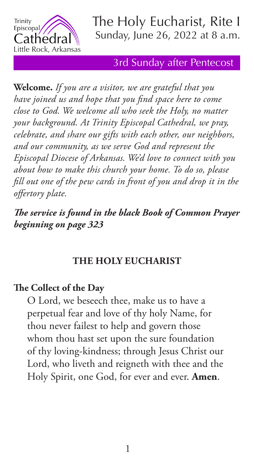

### 3rd Sunday after Pentecost

**Welcome.** *If you are a visitor, we are grateful that you have joined us and hope that you find space here to come close to God. We welcome all who seek the Holy, no matter your background. At Trinity Episcopal Cathedral, we pray, celebrate, and share our gifts with each other, our neighbors, and our community, as we serve God and represent the Episcopal Diocese of Arkansas. We'd love to connect with you about how to make this church your home. To do so, please fill out one of the pew cards in front of you and drop it in the offertory plate.* 

*The service is found in the black Book of Common Prayer beginning on page 323*

### **THE HOLY EUCHARIST**

# **The Collect of the Day**

O Lord, we beseech thee, make us to have a perpetual fear and love of thy holy Name, for thou never failest to help and govern those whom thou hast set upon the sure foundation of thy loving-kindness; through Jesus Christ our Lord, who liveth and reigneth with thee and the Holy Spirit, one God, for ever and ever. **Amen**.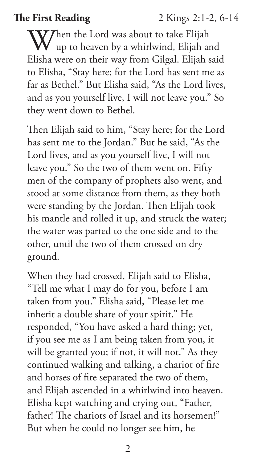**The First Reading** 2 Kings 2:1-2, 6-14

 $\bf W$ Then the Lord was about to take Elijah up to heaven by a whirlwind, Elijah and Elisha were on their way from Gilgal. Elijah said to Elisha, "Stay here; for the Lord has sent me as far as Bethel." But Elisha said, "As the Lord lives, and as you yourself live, I will not leave you." So they went down to Bethel.

Then Elijah said to him, "Stay here; for the Lord has sent me to the Jordan." But he said, "As the Lord lives, and as you yourself live, I will not leave you." So the two of them went on. Fifty men of the company of prophets also went, and stood at some distance from them, as they both were standing by the Jordan. Then Elijah took his mantle and rolled it up, and struck the water; the water was parted to the one side and to the other, until the two of them crossed on dry ground.

When they had crossed, Elijah said to Elisha, "Tell me what I may do for you, before I am taken from you." Elisha said, "Please let me inherit a double share of your spirit." He responded, "You have asked a hard thing; yet, if you see me as I am being taken from you, it will be granted you; if not, it will not." As they continued walking and talking, a chariot of fire and horses of fire separated the two of them, and Elijah ascended in a whirlwind into heaven. Elisha kept watching and crying out, "Father, father! The chariots of Israel and its horsemen!" But when he could no longer see him, he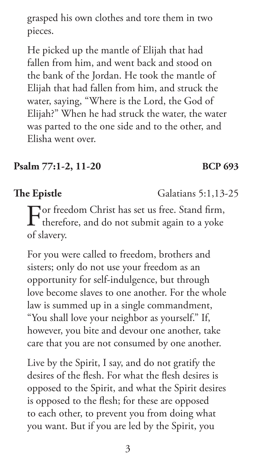grasped his own clothes and tore them in two pieces.

He picked up the mantle of Elijah that had fallen from him, and went back and stood on the bank of the Jordan. He took the mantle of Elijah that had fallen from him, and struck the water, saying, "Where is the Lord, the God of Elijah?" When he had struck the water, the water was parted to the one side and to the other, and Elisha went over.

## **Psalm 77:1-2, 11-20 BCP 693**

# **The Epistle** Galatians 5:1,13-25

For freedom Christ has set us free. Stand firm, therefore, and do not submit again to a yoke of slavery.

For you were called to freedom, brothers and sisters; only do not use your freedom as an opportunity for self-indulgence, but through love become slaves to one another. For the whole law is summed up in a single commandment, "You shall love your neighbor as yourself." If, however, you bite and devour one another, take care that you are not consumed by one another.

Live by the Spirit, I say, and do not gratify the desires of the flesh. For what the flesh desires is opposed to the Spirit, and what the Spirit desires is opposed to the flesh; for these are opposed to each other, to prevent you from doing what you want. But if you are led by the Spirit, you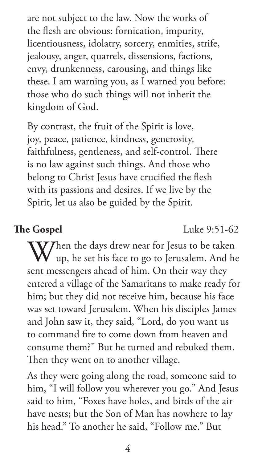are not subject to the law. Now the works of the flesh are obvious: fornication, impurity, licentiousness, idolatry, sorcery, enmities, strife, jealousy, anger, quarrels, dissensions, factions, envy, drunkenness, carousing, and things like these. I am warning you, as I warned you before: those who do such things will not inherit the kingdom of God.

By contrast, the fruit of the Spirit is love, joy, peace, patience, kindness, generosity, faithfulness, gentleness, and self-control. There is no law against such things. And those who belong to Christ Jesus have crucified the flesh with its passions and desires. If we live by the Spirit, let us also be guided by the Spirit.

**The Gospel** Luke 9:51-62

When the days drew near for Jesus to be taken<br>
up, he set his face to go to Jerusalem. And he sent messengers ahead of him. On their way they entered a village of the Samaritans to make ready for him; but they did not receive him, because his face was set toward Jerusalem. When his disciples James and John saw it, they said, "Lord, do you want us to command fire to come down from heaven and consume them?" But he turned and rebuked them. Then they went on to another village.

As they were going along the road, someone said to him, "I will follow you wherever you go." And Jesus said to him, "Foxes have holes, and birds of the air have nests; but the Son of Man has nowhere to lay his head." To another he said, "Follow me." But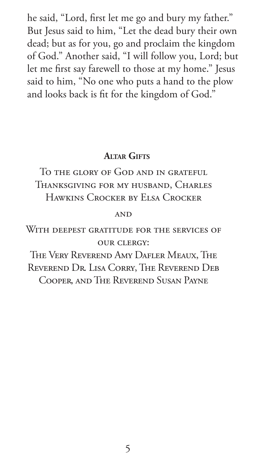he said, "Lord, first let me go and bury my father." But Jesus said to him, "Let the dead bury their own dead; but as for you, go and proclaim the kingdom of God." Another said, "I will follow you, Lord; but let me first say farewell to those at my home." Jesus said to him, "No one who puts a hand to the plow and looks back is fit for the kingdom of God."

### **ALTAR GIFTS**

To the glory of God and in grateful Thanksgiving for my husband, Charles Hawkins Crocker by Elsa Crocker

### **AND**

WITH DEEPEST GRATITUDE FOR THE SERVICES OF our clergy:

The Very Reverend Amy Dafler Meaux, The Reverend Dr. Lisa Corry, The Reverend Deb Cooper, and The Reverend Susan Payne